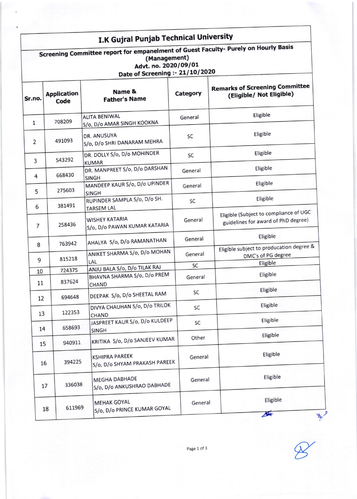## I.K Gujral Punjab Technical University

#### Screening Committee report for empanelment of Guest Faculty- Purely on Hourly Basis (Management) Advt. no. 2020/09/01 Date of Screening :- 21/10/2020

| Sr.no.         | <b>Application</b><br>Code | Name &<br><b>Father's Name</b>                         | Category | <b>Remarks of Screening Committee</b><br>(Eligible/ Not Eligible)             |
|----------------|----------------------------|--------------------------------------------------------|----------|-------------------------------------------------------------------------------|
| $\mathbf{1}$   | 708209                     | <b>ALITA BENIWAL</b><br>S/o, D/o AMAR SINGH KOOKNA     | General  | Eligible                                                                      |
| $\overline{2}$ | 491093                     | DR. ANUSUYA<br>S/o, D/o SHRI DANARAM MEHRA             | SC       | Eligible                                                                      |
| 3              | 543292                     | DR. DOLLY S/o, D/o MOHINDER<br><b>KUMAR</b>            | SC       | Eligible                                                                      |
| 4              | 668430                     | DR. MANPREET S/o, D/o DARSHAN<br><b>SINGH</b>          | General  | Eligible                                                                      |
| 5              | 275603                     | MANDEEP KAUR S/o, D/o UPINDER<br><b>SINGH</b>          | General  | Eligible                                                                      |
| 6              | 381491                     | RUPINDER SAMPLA S/o, D/o SH.<br><b>TARSEM LAL</b>      | SC       | Eligible                                                                      |
| $\overline{7}$ | 258436                     | <b>WISHEY KATARIA</b><br>S/o, D/o PAWAN KUMAR KATARIA  | General  | Eligible (Subject to compliance of UGC<br>guidelines for award of PhD degree) |
| 8              | 763942                     | AHALYA S/o, D/o RAMANATHAN                             | General  | Eligible                                                                      |
| 9              | 815218                     | ANIKET SHARMA S/o, D/o MOHAN                           | General  | Eligible subject to producation degree &<br>DMC's of PG degree                |
|                |                            | LAL<br>ANJU BALA S/o, D/o TILAK RAJ                    | SC       | Eligible                                                                      |
| 10<br>11       | 724375<br>837624           | BHAVNA SHARMA S/o, D/o PREM<br><b>CHAND</b>            | General  | Eligible                                                                      |
| 12             | 694648                     | DEEPAK S/o, D/o SHEETAL RAM                            | SC       | Eligible                                                                      |
| 13             | 122353                     | DIVYA CHAUHAN S/o, D/o TRILOK<br><b>CHAND</b>          | SC       | Eligible                                                                      |
| 14             | 658693                     | JASPREET KAUR S/o, D/o KULDEEP<br><b>SINGH</b>         | SC       | Eligible                                                                      |
| 15             | 940911                     | KRITIKA S/o, D/o SANJEEV KUMAR                         | Other    | Eligible                                                                      |
| 16             | 394225                     | <b>KSHIPRA PAREEK</b><br>S/o, D/o SHYAM PRAKASH PAREEK | General  | Eligible                                                                      |
|                | 336038<br>17               | <b>MEGHA DABHADE</b><br>S/o, D/o ANKUSHRAO DABHADE     | General  | Eligible                                                                      |
|                | 611969<br>18               | <b>MEHAK GOYAL</b><br>S/o, D/o PRINCE KUMAR GOYAL      | General  | Eligible<br>$\frac{1}{2}$                                                     |